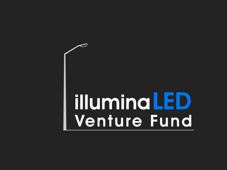## **illuminaLED Venture Fund**

 $\tilde{\phantom{a}}$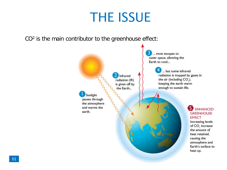## THE ISSUE

CO<sup>2</sup> is the main contributor to the greenhouse effect:



#### $\begin{smallmatrix} 0 & 0 & 0 & 0 \\ 0 & 0 & 0 & 0 \\ 0 & 0 & 0 & 0 \\ 0 & 0 & 0 & 0 \\ 0 & 0 & 0 & 0 \\ 0 & 0 & 0 & 0 \\ 0 & 0 & 0 & 0 \\ 0 & 0 & 0 & 0 \\ 0 & 0 & 0 & 0 \\ 0 & 0 & 0 & 0 \\ 0 & 0 & 0 & 0 & 0 \\ 0 & 0 & 0 & 0 & 0 \\ 0 & 0 & 0 & 0 & 0 \\ 0 & 0 & 0 & 0 & 0 \\ 0 & 0 & 0 & 0 & 0 \\ 0 & 0 & 0 & 0 & 0 \\ 0 &$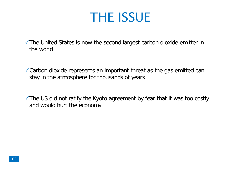### THE ISSUE

The United States is now the second largest carbon dioxide emitter in the world

Carbon dioxide represents an important threat as the gas emitted can stay in the atmosphere for thousands of years

 $\checkmark$  The US did not ratify the Kyoto agreement by fear that it was too costly **and would hurt the economy**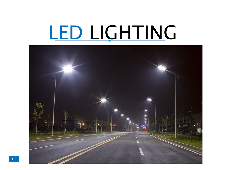## LED LIGHTING

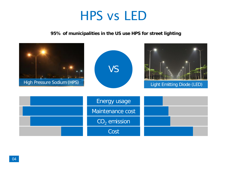### HPS vs LED

**95% of municipalities in the US use HPS for street lighting**

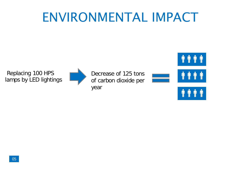### ENVIRONMENTAL IMPACT

Replacing 100 HPS lamps by LED lightings



Decrease of 125 tons of carbon dioxide per year





φ

 $\pmb{\P}$ φ

#### 0 0 0 0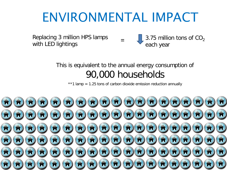### ENVIRONMENTAL IMPACT

=

Replacing 3 million HPS lamps with LED lightings

3.75 million tons of  $CO<sub>2</sub>$ each year

#### This is equivalent to the annual energy consumption of 90,000 households

\*\*1 lamp = 1.25 tons of carbon dioxide emission reduction annually

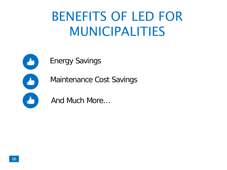## BENEFITS OF LED FOR MUNICIPALITIES



Energy Savings

Maintenance Cost Savings

And Much More…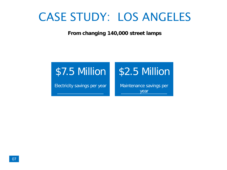### CASE STUDY: LOS ANGELES

**From changing 140,000 street lamps**

#### \$7.5 Million

Electricity savings per year

### \$2.5 Million

Maintenance savings per year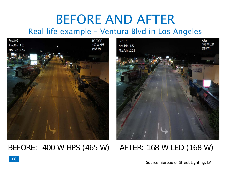## BEFORE AND AFTER

#### Real life example – Ventura Blvd in Los Angeles



BEFORE: 400 W HPS (465 W) AFTER: 168 W LED (168 W)

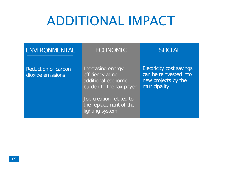## ADDITIONAL IMPACT

| ENVIRONMENTAL                                   | <b>ECONOMIC</b>                                                                                                                                                 | <b>SOCIAL</b>                                                                                    |
|-------------------------------------------------|-----------------------------------------------------------------------------------------------------------------------------------------------------------------|--------------------------------------------------------------------------------------------------|
| <b>Reduction of carbon</b><br>dioxide emissions | Increasing energy<br>efficiency at no<br>additional economic<br>burden to the tax payer<br>Job creation related to<br>the replacement of the<br>lighting system | <b>Electricity cost savings</b><br>can be reinvested into<br>new projects by the<br>municipality |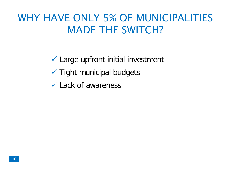### WHY HAVE ONLY 5% OF MUNICIPALITIES MADE THE SWITCH?

 $\checkmark$  Large upfront initial investment

- $\checkmark$  Tight municipal budgets
- Lack of awareness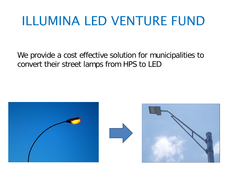## ILLUMINA LED VENTURE FUND

We provide a cost effective solution for municipalities to convert their street lamps from HPS to LED

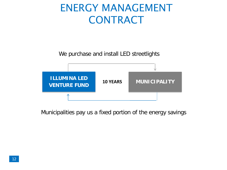### ENERGY MANAGEMENT CONTRACT

We purchase and install LED streetlights



Municipalities pay us a fixed portion of the energy savings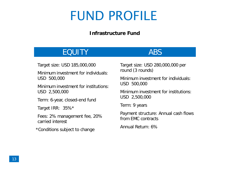### FUND PROFILE

#### **Infrastructure Fund**

#### EQUITY ABS

Target size: USD 185,000,000

Minimum investment for individuals: USD 500,000

Minimum investment for institutions: USD 2,500,000

Term: 6-year, closed-end fund

Target IRR: 35%\*

Fees: 2% management fee, 20% carried interest

\*Conditions subject to change

Target size: USD 280,000,000 per round (3 rounds)

Minimum investment for individuals: USD 500,000

Minimum investment for institutions: USD 2,500,000

Term: 9 years

Payment structure: Annual cash flows from EMC contracts

Annual Return: 6%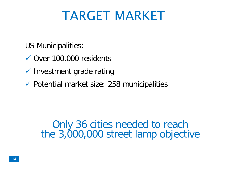## TARGET MARKET

US Municipalities:

- Over 100,000 residents
- $\checkmark$  Investment grade rating
- $\checkmark$  Potential market size: 258 municipalities

Only 36 cities needed to reach the 3,000,000 street lamp objective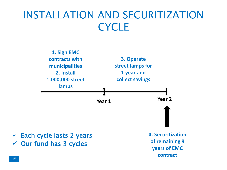### INSTALLATION AND SECURITIZATION **CYCLE**



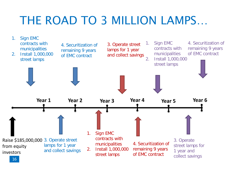### THE ROAD TO 3 MILLION LAMPS…

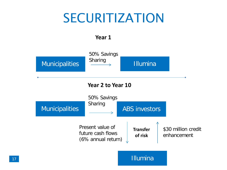### SECURITIZATION

#### **Year 1**

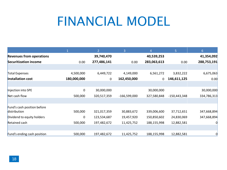### FINANCIAL MODEL

|                                 |             | 2           | 3              | 4           | 5              | 6 <sup>1</sup> |
|---------------------------------|-------------|-------------|----------------|-------------|----------------|----------------|
| <b>Revenues from operations</b> |             | 39,740,470  |                | 40,539,253  |                | 41,354,092     |
| <b>Securitization income</b>    | 0.00        | 277,486,141 | 0.00           | 283,063,613 | 0.00           | 288,753,191    |
|                                 |             |             |                |             |                |                |
| Total Expenses                  | 4,500,000   | 6,449,722   | 4,149,000      | 6,561,272   | 3,832,222      | 6,675,063      |
| Installation cost               | 180,000,000 | $\mathbf 0$ | 162,450,000    | 0           | 146,611,125    | 0.00           |
|                                 |             |             |                |             |                |                |
| Injection into SPE              | $\mathbf 0$ | 30,000,000  |                | 30,000,000  |                | 30,000,000     |
| Net cash flow                   | 500,000     | 320,517,359 | $-166,599,000$ | 327,580,848 | $-150,443,348$ | 334,786,313    |
|                                 |             |             |                |             |                |                |
| Fund's cash position before     |             |             |                |             |                |                |
| distribution                    | 500,000     | 321,017,359 | 30,883,672     | 339,006,600 | 37,712,651     | 347,668,894    |
| Dividend to equity holders      | 0           | 123,534,687 | 19,457,920     | 150,850,602 | 24,830,069     | 347,668,894    |
| Retained cash                   | 500,000     | 197,482,672 | 11,425,752     | 188,155,998 | 12,882,581     |                |
|                                 |             |             |                |             |                |                |
| Fund's ending cash position     | 500,000     | 197,482,672 | 11,425,752     | 188,155,998 | 12,882,581     |                |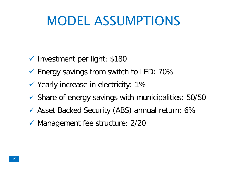## MODEL ASSUMPTIONS

- $\checkmark$  Investment per light: \$180
- $\checkmark$  Energy savings from switch to LED: 70%
- $\checkmark$  Yearly increase in electricity: 1%
- $\checkmark$  Share of energy savings with municipalities: 50/50
- Asset Backed Security (ABS) annual return: 6%
- $\checkmark$  Management fee structure: 2/20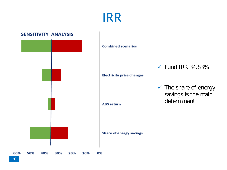IRR



#### 20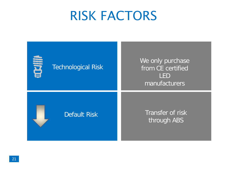### RISK FACTORS

| 言语<br><b>Technological Risk</b> | We only purchase<br>from CE certified<br><b>LED</b><br>manufacturers |
|---------------------------------|----------------------------------------------------------------------|
| <b>Default Risk</b>             | Transfer of risk<br>through ABS                                      |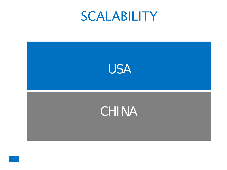### **SCALABILITY**

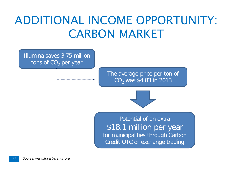### ADDITIONAL INCOME OPPORTUNITY: CARBON MARKET

Illumina saves 3.75 million tons of  $CO<sub>2</sub>$  per year

> The average price per ton of  $CO<sub>2</sub>$  was \$4.83 in 2013



Potential of an extra \$18.1 million per year for municipalities through Carbon Credit OTC or exchange trading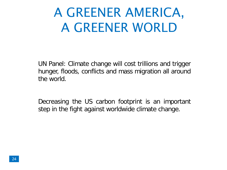## A GREENER AMERICA, A GREENER WORLD

UN Panel: Climate change will cost trillions and trigger hunger, floods, conflicts and mass migration all around the world.

Decreasing the US carbon footprint is an important step in the fight against worldwide climate change.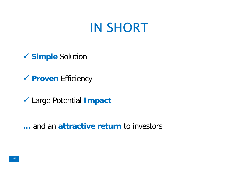### IN SHORT

- **Simple** Solution
- **Proven** Efficiency
- Large Potential **Impact**

**…** and an **attractive return** to investors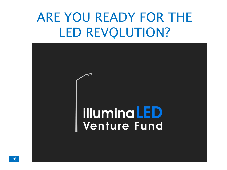## ARE YOU READY FOR THE LED REVOLUTION?

# C **illuminaLED Venture Fund**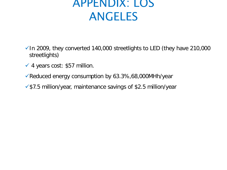### APPENDIX: LOS ANGELES

- $\checkmark$  In 2009, they converted 140,000 streetlights to LED (they have 210,000 streetlights)
- $\checkmark$  4 years cost: \$57 million.
- Reduced energy consumption by 63.3%,68,000MHh/year
- $\sqrt{$7.5}$  million/year, maintenance savings of \$2.5 million/year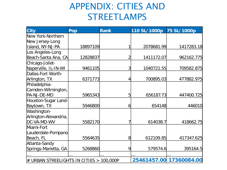#### APPENDIX: CITIES AND STREETLAMPS

| <b>City</b>                                         | Pop      | <b>Rank</b> | 110 SL/1000p | 75 SL/1000p             |
|-----------------------------------------------------|----------|-------------|--------------|-------------------------|
| New York-Northern                                   |          |             |              |                         |
| New Jersey-Long                                     |          |             |              |                         |
| Island, NY-NJ-PA                                    | 18897109 |             | 2078681.99   | 1417283.18              |
| Los Angeles-Long                                    |          |             |              |                         |
| Beach-Santa Ana, CA                                 | 12828837 |             | 1411172.07   | 962162.775              |
| Chicago-Joliet-<br>Naperville, IL-IN-WI             | 9461105  | 3           | 1040721.55   | 709582.875              |
| Dallas-Fort Worth-                                  |          |             |              |                         |
| Arlington, TX                                       | 6371773  |             | 700895.03    | 477882.975              |
| Philadelphia-                                       |          |             |              |                         |
| Camden-Wilmington,                                  |          |             |              |                         |
| PA-NJ-DE-MD                                         | 5965343  | 5           | 656187.73    | 447400.725              |
| Houston-Sugar Land-                                 |          |             |              |                         |
| Baytown, TX                                         | 5946800  | 6           | 654148       | 446010                  |
| Washington-<br>Arlington-Alexandria,<br>DC-VA-MD-WV | 5582170  |             | 614038.7     | 418662.75               |
| Miami-Fort<br>Lauderdale-Pompano                    |          |             |              |                         |
| Beach, FL                                           | 5564635  | 8           | 612109.85    | 417347.625              |
| Atlanta-Sandy                                       |          |             |              |                         |
| Springs-Marietta, GA                                | 5268860  | 9           | 579574.6     | 395164.5                |
|                                                     |          |             |              |                         |
| $\#$ URBAN STREELIGHTS IN CITIES > 100,000P         |          |             |              | 25461457.00 17360084.00 |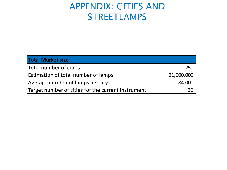#### APPENDIX: CITIES AND STREETLAMPS

| <b>Total Market size</b>                           |            |
|----------------------------------------------------|------------|
| Total number of cities                             | 250        |
| <b>Estimation of total number of lamps</b>         | 21,000,000 |
| Average number of lamps per city                   | 84,000     |
| Target number of cities for the current instrument | 36         |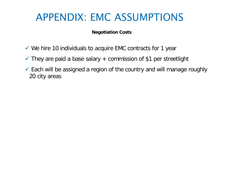### APPENDIX: EMC ASSUMPTIONS

#### **Negotiation Costs**

- $\checkmark$  We hire 10 individuals to acquire EMC contracts for 1 year
- $\checkmark$  They are paid a base salary + commission of \$1 per streetlight
- $\checkmark$  Each will be assigned a region of the country and will manage roughly 20 city areas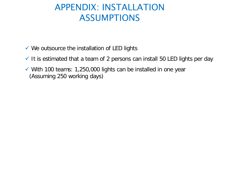#### APPENDIX: INSTALLATION ASSUMPTIONS

- $\checkmark$  We outsource the installation of LED lights
- $\checkmark$  It is estimated that a team of 2 persons can install 50 LED lights per day
- $\checkmark$  With 100 teams: 1,250,000 lights can be installed in one year (Assuming 250 working days)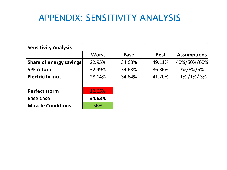#### APPENDIX: SENSITIVITY ANALYSIS

#### **Sensitivity Analysis**

| 55                             |              |             |             |                    |  |
|--------------------------------|--------------|-------------|-------------|--------------------|--|
|                                | <b>Worst</b> | <b>Base</b> | <b>Best</b> | <b>Assumptions</b> |  |
| <b>Share of energy savings</b> | 22.95%       | 34.63%      | 49.11%      | 40%/50%/60%        |  |
| <b>SPE return</b>              | 32.49%       | 34.63%      | 36.86%      | 7%/6%/5%           |  |
| <b>Electricity incr.</b>       | 28.14%       | 34.64%      | 41.20%      | $-1\% / 1\% / 3\%$ |  |
| <b>Perfect storm</b>           | 12.65%       |             |             |                    |  |
| <b>Base Case</b>               | 34.63%       |             |             |                    |  |
| <b>Miracle Conditions</b>      | 56%          |             |             |                    |  |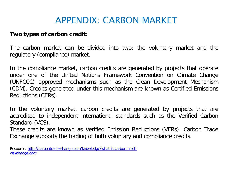#### APPENDIX: CARBON MARKET

#### **Two types of carbon credit:**

The carbon market can be divided into two: the voluntary market and the regulatory (compliance) market.

In the compliance market, carbon credits are generated by projects that operate under one of the United Nations Framework Convention on Climate Change (UNFCCC) approved mechanisms such as the Clean Development Mechanism (CDM). Credits generated under this mechanism are known as Certified Emissions Reductions (CERs).

In the voluntary market, carbon credits are generated by projects that are accredited to independent international standards such as the Verified Carbon Standard (VCS).

These credits are known as Verified Emission Reductions (VERs). Carbon Trade Exchange supports the trading of both voluntary and compliance credits.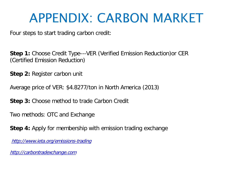### APPENDIX: CARBON MARKET

Four steps to start trading carbon credit:

**Step 1:** Choose Credit Type---VER (Verified Emission Reduction)or CER (Certified Emission Reduction)

**Step 2:** Register carbon unit

Average price of VER: \$4.8277/ton in North America (2013)

**Step 3:** Choose method to trade Carbon Credit

Two methods: OTC and Exchange

**Step 4:** Apply for membership with emission trading exchange

[http://www.ieta.org/emissions-trading](https://mail.saif.sjtu.edu.cn/owa/redir.aspx?C=fk8yZtRVnECZEtZfIFICzBBEtXMnINEIUS3Wyv01gQt_cxWYQtArDtZfm3rboNFBAlURgRKJi6w.&URL=http://www.ieta.org/emissions-trading)

[http://carbontradexchange.com](https://mail.saif.sjtu.edu.cn/owa/redir.aspx?C=fk8yZtRVnECZEtZfIFICzBBEtXMnINEIUS3Wyv01gQt_cxWYQtArDtZfm3rboNFBAlURgRKJi6w.&URL=http://carbontradexchange.com)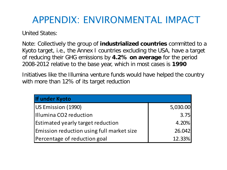### APPENDIX: ENVIRONMENTAL IMPACT

United States:

Note: Collectively the group of **industrialized countries** committed to a Kyoto target, i.e., the Annex I countries excluding the USA, have a target of reducing their GHG emissions by **4.2% on average** for the period 2008-2012 relative to the base year, which in most cases is **1990**

Initiatives like the Illumina venture funds would have helped the country with more than 12% of its target reduction

| If under Kyoto                            |          |
|-------------------------------------------|----------|
| US Emission (1990)                        | 5,030.00 |
| Illumina CO2 reduction                    | 3.75     |
| <b>Estimated yearly target reduction</b>  | 4.20%    |
| Emission reduction using full market size | 26.042   |
| Percentage of reduction goal              | 12.33%   |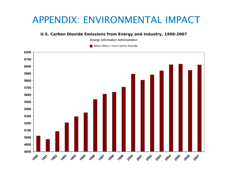#### APPENDIX: ENVIRONMENTAL IMPACT

#### U.S. Carbon Dioxide Emissions from Energy and Industry, 1990-2007

**Energy Information Administration** 

Million Metric Tons Carbon Dioxide

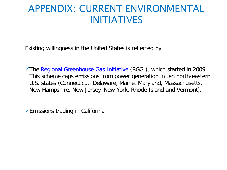#### APPENDIX: CURRENT ENVIRONMENTAL INITIATIVES

Existing willingness in the United States is reflected by:

The [Regional Greenhouse Gas Initiative](http://en.wikipedia.org/wiki/Regional_Greenhouse_Gas_Initiative) (RGGI), which started in 2009. This scheme caps emissions from power generation in ten north-eastern U.S. states (Connecticut, Delaware, Maine, Maryland, Massachusetts, New Hampshire, New Jersey, New York, Rhode Island and Vermont).

Emissions trading in California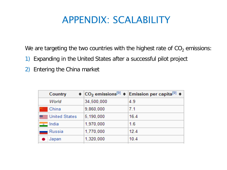#### APPENDIX: SCALABILITY

We are targeting the two countries with the highest rate of  $CO<sub>2</sub>$  emissions:

- 1) Expanding in the United States after a successful pilot project
- 2) Entering the China market

| Country                   |            | $\div$ CO <sub>2</sub> emissions <sup>[9]</sup> $\div$ Emission per capita <sup>[9]</sup> $\div$ |
|---------------------------|------------|--------------------------------------------------------------------------------------------------|
| World                     | 34,500,000 | 4.9                                                                                              |
| China                     | 9,860,000  | 7.1                                                                                              |
| <b>BEER</b> United States | 5,190,000  | 16.4                                                                                             |
| $\bullet$ India           | 1,970,000  | 1.6                                                                                              |
| Russia                    | 1,770,000  | 12.4                                                                                             |
| Japan                     | 1,320,000  | 10.4                                                                                             |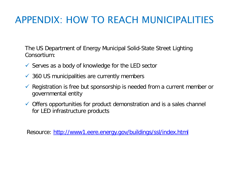### APPENDIX: HOW TO REACH MUNICIPALITIES

The US Department of Energy Municipal Solid-State Street Lighting Consortium:

- $\checkmark$  Serves as a body of knowledge for the LED sector
- $\checkmark$  360 US municipalities are currently members
- $\checkmark$  Registration is free but sponsorship is needed from a current member or governmental entity
- $\checkmark$  Offers opportunities for product demonstration and is a sales channel for LED infrastructure products

Resource:<http://www1.eere.energy.gov/buildings/ssl/index.html>